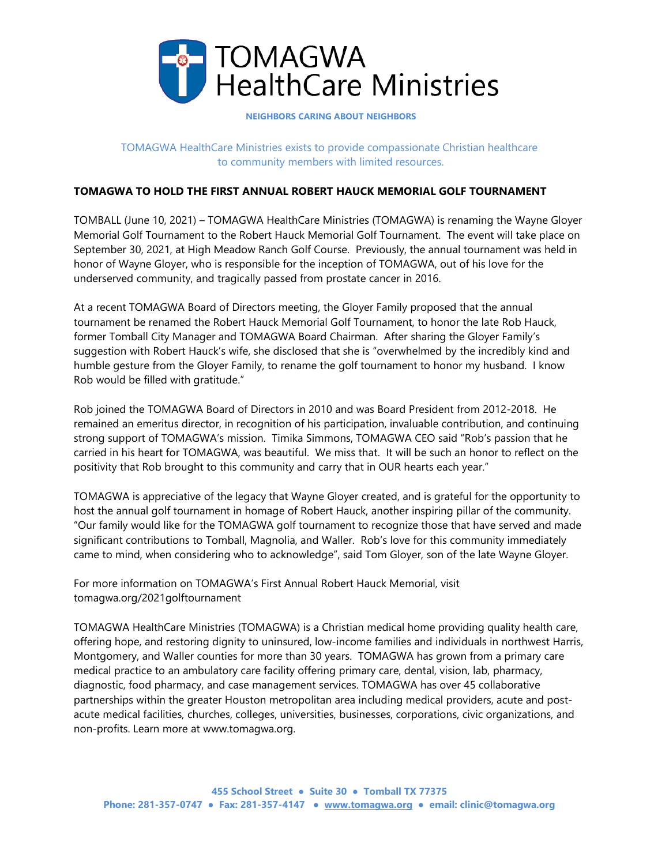

## **NEIGHBORS CARING ABOUT NEIGHBORS**

TOMAGWA HealthCare Ministries exists to provide compassionate Christian healthcare to community members with limited resources.

## **TOMAGWA TO HOLD THE FIRST ANNUAL ROBERT HAUCK MEMORIAL GOLF TOURNAMENT**

TOMBALL (June 10, 2021) – TOMAGWA HealthCare Ministries (TOMAGWA) is renaming the Wayne Gloyer Memorial Golf Tournament to the Robert Hauck Memorial Golf Tournament. The event will take place on September 30, 2021, at High Meadow Ranch Golf Course. Previously, the annual tournament was held in honor of Wayne Gloyer, who is responsible for the inception of TOMAGWA, out of his love for the underserved community, and tragically passed from prostate cancer in 2016.

At a recent TOMAGWA Board of Directors meeting, the Gloyer Family proposed that the annual tournament be renamed the Robert Hauck Memorial Golf Tournament, to honor the late Rob Hauck, former Tomball City Manager and TOMAGWA Board Chairman. After sharing the Gloyer Family's suggestion with Robert Hauck's wife, she disclosed that she is "overwhelmed by the incredibly kind and humble gesture from the Gloyer Family, to rename the golf tournament to honor my husband. I know Rob would be filled with gratitude."

Rob joined the TOMAGWA Board of Directors in 2010 and was Board President from 2012-2018. He remained an emeritus director, in recognition of his participation, invaluable contribution, and continuing strong support of TOMAGWA's mission. Timika Simmons, TOMAGWA CEO said "Rob's passion that he carried in his heart for TOMAGWA, was beautiful. We miss that. It will be such an honor to reflect on the positivity that Rob brought to this community and carry that in OUR hearts each year."

TOMAGWA is appreciative of the legacy that Wayne Gloyer created, and is grateful for the opportunity to host the annual golf tournament in homage of Robert Hauck, another inspiring pillar of the community. "Our family would like for the TOMAGWA golf tournament to recognize those that have served and made significant contributions to Tomball, Magnolia, and Waller. Rob's love for this community immediately came to mind, when considering who to acknowledge", said Tom Gloyer, son of the late Wayne Gloyer.

For more information on TOMAGWA's First Annual Robert Hauck Memorial, visit tomagwa.org/2021golftournament

TOMAGWA HealthCare Ministries (TOMAGWA) is a Christian medical home providing quality health care, offering hope, and restoring dignity to uninsured, low-income families and individuals in northwest Harris, Montgomery, and Waller counties for more than 30 years. TOMAGWA has grown from a primary care medical practice to an ambulatory care facility offering primary care, dental, vision, lab, pharmacy, diagnostic, food pharmacy, and case management services. TOMAGWA has over 45 collaborative partnerships within the greater Houston metropolitan area including medical providers, acute and postacute medical facilities, churches, colleges, universities, businesses, corporations, civic organizations, and non-profits. Learn more at www.tomagwa.org.